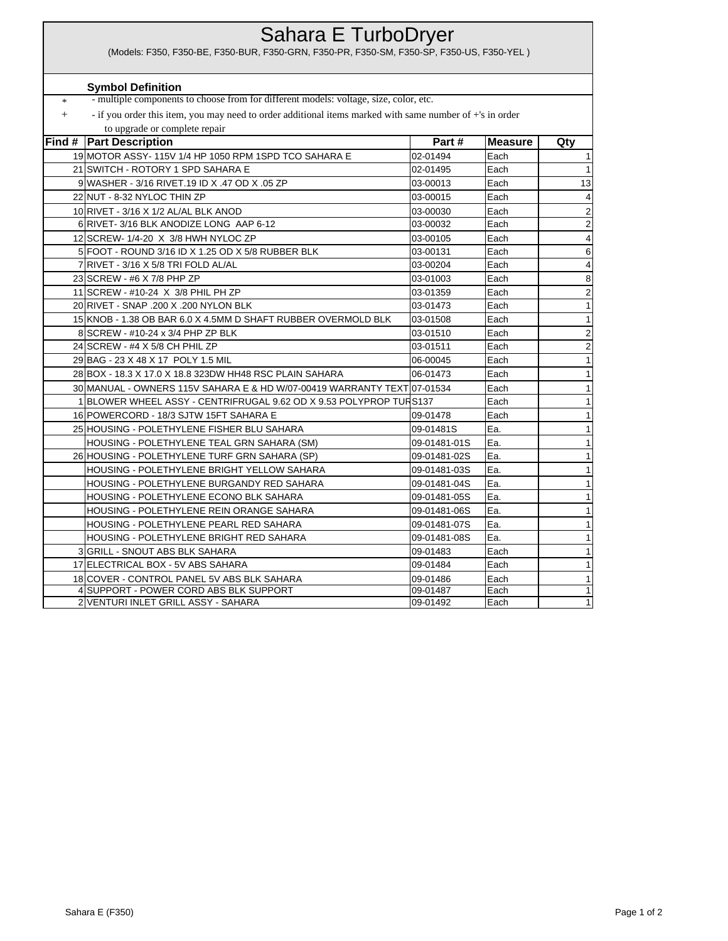## \* + **Find # Part Description And Alternative Contract Part # Part # Measure Qty** 19 MOTOR ASSY- 115V 1/4 HP 1050 RPM 1SPD TCO SAHARA E 02-01494 Each 21 SWITCH - ROTORY 1 SPD SAHARA E 02-01495 Each 1 9 WASHER - 3/16 RIVET.19 ID X .47 OD X .05 ZP 03-00013 Each 13 22 NUT - 8-32 NYLOC THIN ZP 03-00015 Each 4 10 RIVET - 3/16 X 1/2 AL/AL BLK ANOD 03-00030 Each 2 6 RIVET- 3/16 BLK ANODIZE LONG AAP 6-12 03-00032 Each 2 12 SCREW- 1/4-20 X 3/8 HWH NYLOC ZP 03-00105 Each 2 5 FOOT - ROUND 3/16 ID X 1.25 OD X 5/8 RUBBER BLK 6 03-00131 Each 6 6 7 RIVET - 3/16 X 5/8 TRI FOLD AL/AL 03-00204 Each 4 23 SCREW - #6 X 7/8 PHP ZP 03-01003 Each 8 11 SCREW - #10-24 X 3/8 PHIL PH ZP **12 COVER 103-01359** Each 2 20 RIVET - SNAP .200 X .200 NYLON BLK 03-01473 Each 1 15 KNOB - 1.38 OB BAR 6.0 X 4.5MM D SHAFT RUBBER OVERMOLD BLK 03-01508 Each 1 8 SCREW - #10-24 x 3/4 PHP ZP BLK 2 03-01510 Each 2 24 SCREW - #4 X 5/8 CH PHIL ZP  $\begin{array}{ccc} 24 & 03-01511 & \text{Each} \end{array}$  2 29 BAG - 23 X 48 X 17 POLY 1.5 MIL 1 20 AM CONTEXT 1 206-00045 Each 2012 1 28 BOX - 18.3 X 17.0 X 18.8 323DW HH48 RSC PLAIN SAHARA  $\vert$  06-01473 Each 1 30 MANUAL - OWNERS 115V SAHARA E & HD W/07-00419 WARRANTY TEXT 07-01534 Each 1 BLOWER WHEEL ASSY - CENTRIFRUGAL 9.62 OD X 9.53 POLYPROP TURS137 **Each** 2 16 POWERCORD - 18/3 SJTW 15FT SAHARA E 09-01478 Each 1 1 25 HOUSING - POLETHYLENE FISHER BLU SAHARA 199-01481S Ea. 1 HOUSING - POLETHYLENE TEAL GRN SAHARA (SM) 09-01481-01S Ea. 1 26 HOUSING - POLETHYLENE TURF GRN SAHARA (SP)  $09-01481-02S$  Ea. 1 HOUSING - POLETHYLENE BRIGHT YELLOW SAHARA 09-01481-03S Ea. 1 HOUSING - POLETHYLENE BURGANDY RED SAHARA 1 HOUSING - POLETHYLENE ECONO BLK SAHARA 09-01481-05S Ea. 1 HOUSING - POLETHYLENE REIN ORANGE SAHARA 09-01481-06S Ea. 1 HOUSING - POLETHYLENE PEARL RED SAHARA 199-01481-07S Ea. 1 HOUSING - POLETHYLENE BRIGHT RED SAHARA 09-01481-08S Ea. 1 3 GRILL - SNOUT ABS BLK SAHARA 09-01483 Each 1 17 ELECTRICAL BOX - 5V ABS SAHARA 09-01484 Each 1 18 COVER - CONTROL PANEL 5V ABS BLK SAHARA 199-01486 Each 1 4 SUPPORT - POWER CORD ABS BLK SUPPORT 199-01487 Each VENTURI INLET GRILL ASSY - SAHARA 199-01492 Each (Models: F350, F350-BE, F350-BUR, F350-GRN, F350-PR, F350-SM, F350-SP, F350-US, F350-YEL ) Sahara E TurboDryer - multiple components to choose from for different models: voltage, size, color, etc. - if you order this item, you may need to order additional items marked with same number of +'s in order to upgrade or complete repair **Symbol Definition**